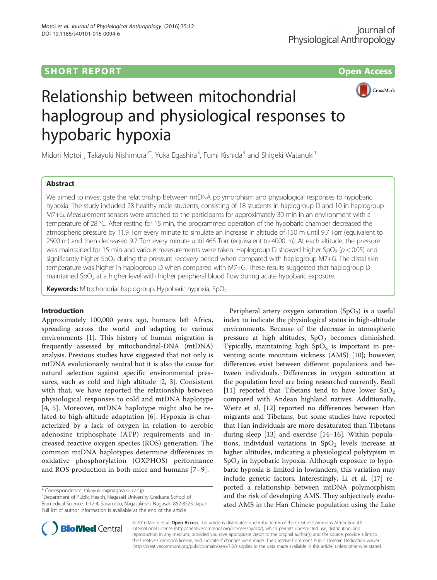## **SHORT REPORT CONSUMING THE CONSUMING SHORT REPORT**



# Relationship between mitochondrial haplogroup and physiological responses to hypobaric hypoxia

Midori Motoi<sup>1</sup>, Takayuki Nishimura<sup>2\*</sup>, Yuka Egashira<sup>3</sup>, Fumi Kishida<sup>3</sup> and Shigeki Watanuki<sup>1</sup>

## Abstract

We aimed to investigate the relationship between mtDNA polymorphism and physiological responses to hypobaric hypoxia. The study included 28 healthy male students, consisting of 18 students in haplogroup D and 10 in haplogroup M7+G. Measurement sensors were attached to the participants for approximately 30 min in an environment with a temperature of 28 °C. After resting for 15 min, the programmed operation of the hypobaric chamber decreased the atmospheric pressure by 11.9 Torr every minute to simulate an increase in altitude of 150 m until 9.7 Torr (equivalent to 2500 m) and then decreased 9.7 Torr every minute until 465 Torr (equivalent to 4000 m). At each altitude, the pressure was maintained for 15 min and various measurements were taken. Haplogroup D showed higher SpO<sub>2</sub> ( $p < 0.05$ ) and significantly higher SpO<sub>2</sub> during the pressure recovery period when compared with haplogroup M7+G. The distal skin temperature was higher in haplogroup D when compared with M7+G. These results suggested that haplogroup D maintained  $SpO<sub>2</sub>$  at a higher level with higher peripheral blood flow during acute hypobaric exposure.

Keywords: Mitochondrial haplogroup, Hypobaric hypoxia, SpO<sub>2</sub>

## Introduction

Approximately 100,000 years ago, humans left Africa, spreading across the world and adapting to various environments [\[1\]](#page-4-0). This history of human migration is frequently assessed by mitochondrial-DNA (mtDNA) analysis. Previous studies have suggested that not only is mtDNA evolutionarily neutral but it is also the cause for natural selection against specific environmental pressures, such as cold and high altitude [[2, 3\]](#page-4-0). Consistent with that, we have reported the relationship between physiological responses to cold and mtDNA haplotype [[4](#page-4-0), [5](#page-4-0)]. Moreover, mtDNA haplotype might also be related to high-altitude adaptation [\[6](#page-4-0)]. Hypoxia is characterized by a lack of oxygen in relation to aerobic adenosine triphosphate (ATP) requirements and increased reactive oxygen species (ROS) generation. The common mtDNA haplotypes determine differences in oxidative phosphorylation (OXPHOS) performance and ROS production in both mice and humans [[7](#page-4-0)–[9](#page-4-0)].

Department of Public Health, Nagasaki University Graduate School of Biomedical Science, 1-12-4, Sakamoto, Nagasaki-shi, Nagasaki 852-8523, Japan Full list of author information is available at the end of the article

Peripheral artery oxygen saturation  $(SpO<sub>2</sub>)$  is a useful index to indicate the physiological status in high-altitude environments. Because of the decrease in atmospheric pressure at high altitudes,  $SpO<sub>2</sub>$  becomes diminished. Typically, maintaining high  $SpO<sub>2</sub>$  is important in preventing acute mountain sickness (AMS) [\[10\]](#page-4-0); however, differences exist between different populations and between individuals. Differences in oxygen saturation at the population level are being researched currently. Beall [[11\]](#page-4-0) reported that Tibetans tend to have lower  $SaO<sub>2</sub>$ compared with Andean highland natives. Additionally, Weitz et al. [\[12](#page-4-0)] reported no differences between Han migrants and Tibetans, but some studies have reported that Han individuals are more desaturated than Tibetans during sleep [\[13](#page-4-0)] and exercise [\[14](#page-4-0)–[16\]](#page-4-0). Within populations, individual variations in  $SpO<sub>2</sub>$  levels increase at higher altitudes, indicating a physiological polytypism in  $SpO<sub>2</sub>$  in hypobaric hypoxia. Although exposure to hypobaric hypoxia is limited in lowlanders, this variation may include genetic factors. Interestingly, Li et al. [[17\]](#page-4-0) reported a relationship between mtDNA polymorphism and the risk of developing AMS. They subjectively evaluated AMS in the Han Chinese population using the Lake



© 2016 Motoi et al. Open Access This article is distributed under the terms of the Creative Commons Attribution 4.0 International License [\(http://creativecommons.org/licenses/by/4.0/](http://creativecommons.org/licenses/by/4.0/)), which permits unrestricted use, distribution, and reproduction in any medium, provided you give appropriate credit to the original author(s) and the source, provide a link to the Creative Commons license, and indicate if changes were made. The Creative Commons Public Domain Dedication waiver [\(http://creativecommons.org/publicdomain/zero/1.0/](http://creativecommons.org/publicdomain/zero/1.0/)) applies to the data made available in this article, unless otherwise stated.

<sup>\*</sup> Correspondence: [takayuki-n@nagasaki-u.ac.jp](mailto:takayuki-n@nagasaki-u.ac.jp) <sup>2</sup>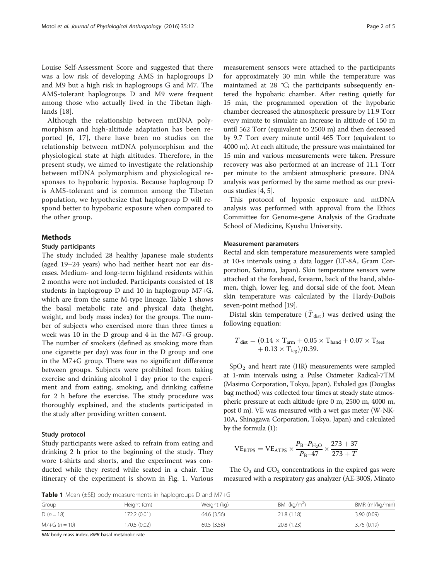<span id="page-1-0"></span>Louise Self-Assessment Score and suggested that there was a low risk of developing AMS in haplogroups D and M9 but a high risk in haplogroups G and M7. The AMS-tolerant haplogroups D and M9 were frequent among those who actually lived in the Tibetan highlands [[18\]](#page-4-0).

Although the relationship between mtDNA polymorphism and high-altitude adaptation has been reported [[6](#page-4-0), [17](#page-4-0)], there have been no studies on the relationship between mtDNA polymorphism and the physiological state at high altitudes. Therefore, in the present study, we aimed to investigate the relationship between mtDNA polymorphism and physiological responses to hypobaric hypoxia. Because haplogroup D is AMS-tolerant and is common among the Tibetan population, we hypothesize that haplogroup D will respond better to hypobaric exposure when compared to the other group.

## Methods

#### Study participants

The study included 28 healthy Japanese male students (aged 19–24 years) who had neither heart nor ear diseases. Medium- and long-term highland residents within 2 months were not included. Participants consisted of 18 students in haplogroup D and 10 in haplogroup M7+G, which are from the same M-type lineage. Table 1 shows the basal metabolic rate and physical data (height, weight, and body mass index) for the groups. The number of subjects who exercised more than three times a week was 10 in the D group and 4 in the M7+G group. The number of smokers (defined as smoking more than one cigarette per day) was four in the D group and one in the M7+G group. There was no significant difference between groups. Subjects were prohibited from taking exercise and drinking alcohol 1 day prior to the experiment and from eating, smoking, and drinking caffeine for 2 h before the exercise. The study procedure was thoroughly explained, and the students participated in the study after providing written consent.

## Study protocol

Study participants were asked to refrain from eating and drinking 2 h prior to the beginning of the study. They wore t-shirts and shorts, and the experiment was conducted while they rested while seated in a chair. The itinerary of the experiment is shown in Fig. [1](#page-2-0). Various

measurement sensors were attached to the participants for approximately 30 min while the temperature was maintained at 28 °C; the participants subsequently entered the hypobaric chamber. After resting quietly for 15 min, the programmed operation of the hypobaric chamber decreased the atmospheric pressure by 11.9 Torr every minute to simulate an increase in altitude of 150 m until 562 Torr (equivalent to 2500 m) and then decreased by 9.7 Torr every minute until 465 Torr (equivalent to 4000 m). At each altitude, the pressure was maintained for 15 min and various measurements were taken. Pressure recovery was also performed at an increase of 11.1 Torr per minute to the ambient atmospheric pressure. DNA analysis was performed by the same method as our previous studies [[4](#page-4-0), [5](#page-4-0)].

This protocol of hypoxic exposure and mtDNA analysis was performed with approval from the Ethics Committee for Genome-gene Analysis of the Graduate School of Medicine, Kyushu University.

## Measurement parameters

Rectal and skin temperature measurements were sampled at 10-s intervals using a data logger (LT-8A, Gram Corporation, Saitama, Japan). Skin temperature sensors were attached at the forehead, forearm, back of the hand, abdomen, thigh, lower leg, and dorsal side of the foot. Mean skin temperature was calculated by the Hardy-DuBois seven-point method [[19](#page-4-0)].

Distal skin temperature ( $\overline{T}_{\text{dist}}$ ) was derived using the following equation:

$$
\bar{\boldsymbol{T}}_{dist} = (0.14 \times \boldsymbol{T}_{arm} + 0.05 \times \boldsymbol{T}_{hand} + 0.07 \times \boldsymbol{T}_{feet} \\ + 0.13 \times \boldsymbol{T}_{leg}) / 0.39.
$$

 $SpO<sub>2</sub>$  and heart rate (HR) measurements were sampled at 1-min intervals using a Pulse Oximeter Radical-7TM (Masimo Corporation, Tokyo, Japan). Exhaled gas (Douglas bag method) was collected four times at steady state atmospheric pressure at each altitude (pre 0 m, 2500 m, 4000 m, post 0 m). VE was measured with a wet gas meter (W-NK-10A, Shinagawa Corporation, Tokyo, Japan) and calculated by the formula (1):

$$
VE_{\rm BTPS} = VE_{\rm ATPS} \times \frac{P_{\rm B} - P_{\rm H_2O}}{P_{\rm B} - 47} \times \frac{273 + 37}{273 + T}
$$

The  $O_2$  and  $CO_2$  concentrations in the expired gas were measured with a respiratory gas analyzer (AE-300S, Minato

**Table 1** Mean ( $\pm$ SE) body measurements in haplogroups D and M7+G

| Group           | Height (cm)  | Weight (kg) | BMI ( $kg/m2$ ) | BMR (ml/kg/min) |
|-----------------|--------------|-------------|-----------------|-----------------|
| D $(n = 18)$    | 172.2 (0.01) | 64.6 (3.56) | 21.8(1.18)      | 3.90(0.09)      |
| $M7+G (n = 10)$ | 170.5 (0.02) | 60.5(3.58)  | 20.8 (1.23)     | 3.75(0.19)      |

BMI body mass index, BMR basal metabolic rate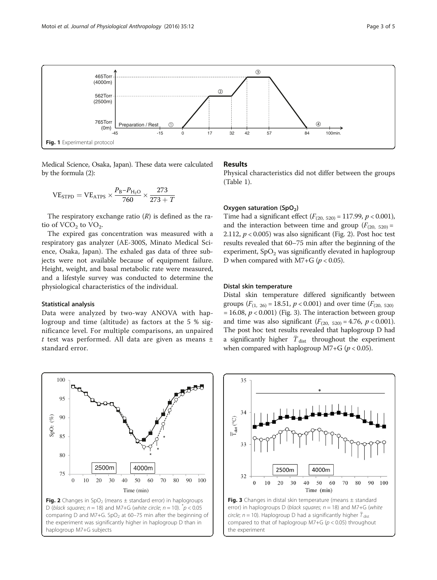<span id="page-2-0"></span>

Medical Science, Osaka, Japan). These data were calculated by the formula (2):

$$
VE_{STPD} = VE_{ATPS} \times \frac{P_B - P_{H_2O}}{760} \times \frac{273}{273 + T}
$$

The respiratory exchange ratio  $(R)$  is defined as the ratio of  $VCO<sub>2</sub>$  to  $VO<sub>2</sub>$ .

The expired gas concentration was measured with a respiratory gas analyzer (AE-300S, Minato Medical Science, Osaka, Japan). The exhaled gas data of three subjects were not available because of equipment failure. Height, weight, and basal metabolic rate were measured, and a lifestyle survey was conducted to determine the physiological characteristics of the individual.

#### Statistical analysis

Data were analyzed by two-way ANOVA with haplogroup and time (altitude) as factors at the 5 % significance level. For multiple comparisons, an unpaired  $t$  test was performed. All data are given as means  $\pm$ standard error.



## Results

Physical characteristics did not differ between the groups (Table [1\)](#page-1-0).

## Oxygen saturation  $(SpO<sub>2</sub>)$

Time had a significant effect  $(F_{(20, 520)} = 117.99, p < 0.001)$ , and the interaction between time and group  $(F_{(20, 520)} =$ 2.112,  $p < 0.005$ ) was also significant (Fig. 2). Post hoc test results revealed that 60–75 min after the beginning of the experiment,  $SpO<sub>2</sub>$  was significantly elevated in haplogroup D when compared with  $M7+G$  ( $p < 0.05$ ).

#### Distal skin temperature

Distal skin temperature differed significantly between groups ( $F_{(1, 26)}$  = 18.51,  $p < 0.001$ ) and over time ( $F_{(20, 520)}$ )  $= 16.08, p < 0.001$ ) (Fig. 3). The interaction between group and time was also significant  $(F_{(20, 520)} = 4.76, p < 0.001)$ . The post hoc test results revealed that haplogroup D had a significantly higher  $\bar{T}_{\text{dist}}$  throughout the experiment when compared with haplogroup  $M7+G$  ( $p < 0.05$ ).



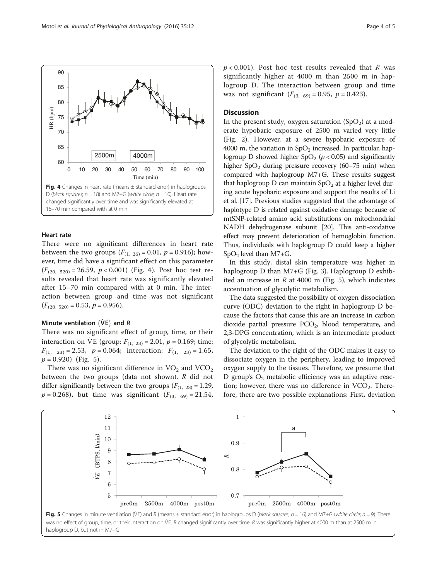

## Heart rate

There were no significant differences in heart rate between the two groups  $(F_{(1, 26)} = 0.01, p = 0.916)$ ; however, time did have a significant effect on this parameter  $(F_{(20, 520)} = 26.59, p < 0.001)$  (Fig. 4). Post hoc test results revealed that heart rate was significantly elevated after 15–70 min compared with at 0 min. The interaction between group and time was not significant  $(F_{(20, 520)} = 0.53, p = 0.956).$ 

## Minute ventilation  $(\dot{V}E)$  and R

There was no significant effect of group, time, or their interaction on VE (group:  $F_{(1, 23)} = 2.01$ ,  $p = 0.169$ ; time:  $F_{(1, 23)} = 2.53$ ,  $p = 0.064$ ; interaction:  $F_{(1, 23)} = 1.65$ ,  $p = 0.920$ ) (Fig. 5).

There was no significant difference in  $VO<sub>2</sub>$  and  $VCO<sub>2</sub>$ between the two groups (data not shown). R did not differ significantly between the two groups  $(F_{(1, 23)} = 1.29)$ ,  $p = 0.268$ ), but time was significant  $(F_{(3, 69)} = 21.54$ ,

 $p < 0.001$ ). Post hoc test results revealed that R was significantly higher at 4000 m than 2500 m in haplogroup D. The interaction between group and time was not significant  $(F_{(3, 69)} = 0.95, p = 0.423)$ .

## **Discussion**

In the present study, oxygen saturation  $(SpO<sub>2</sub>)$  at a moderate hypobaric exposure of 2500 m varied very little (Fig. [2](#page-2-0)). However, at a severe hypobaric exposure of 4000 m, the variation in  $SpO<sub>2</sub>$  increased. In particular, haplogroup D showed higher  $SpO<sub>2</sub>$  ( $p < 0.05$ ) and significantly higher  $SpO<sub>2</sub>$  during pressure recovery (60–75 min) when compared with haplogroup M7+G. These results suggest that haplogroup  $D$  can maintain  $SpO<sub>2</sub>$  at a higher level during acute hypobaric exposure and support the results of Li et al. [[17](#page-4-0)]. Previous studies suggested that the advantage of haplotype D is related against oxidative damage because of mtSNP-related amino acid substitutions on mitochondrial NADH dehydrogenase subunit [[20\]](#page-4-0). This anti-oxidative effect may prevent deterioration of hemoglobin function. Thus, individuals with haplogroup D could keep a higher  $SpO<sub>2</sub>$  level than M7+G.

In this study, distal skin temperature was higher in haplogroup D than M7+G (Fig. [3](#page-2-0)). Haplogroup D exhibited an increase in  $R$  at 4000 m (Fig. 5), which indicates accentuation of glycolytic metabolism.

The data suggested the possibility of oxygen dissociation curve (ODC) deviation to the right in haplogroup D because the factors that cause this are an increase in carbon dioxide partial pressure  $PCO<sub>2</sub>$ , blood temperature, and 2,3-DPG concentration, which is an intermediate product of glycolytic metabolism.

The deviation to the right of the ODC makes it easy to dissociate oxygen in the periphery, leading to improved oxygen supply to the tissues. Therefore, we presume that D group's  $O_2$  metabolic efficiency was an adaptive reaction; however, there was no difference in  $VCO<sub>2</sub>$ . Therefore, there are two possible explanations: First, deviation



was no effect of group, time, or their interaction on VE. R changed significantly over time. R was significantly higher at 4000 m than at 2500 m in haplogroup D, but not in M7+G